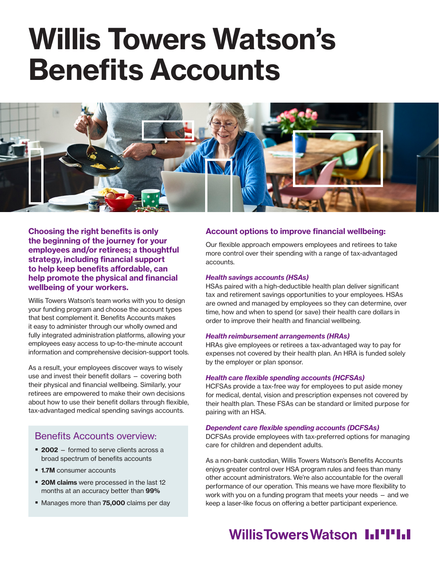# Willis Towers Watson's Benefits Accounts



Choosing the right benefits is only the beginning of the journey for your employees and/or retirees; a thoughtful strategy, including financial support to help keep benefits affordable, can help promote the physical and financial wellbeing of your workers.

Willis Towers Watson's team works with you to design your funding program and choose the account types that best complement it. Benefits Accounts makes it easy to administer through our wholly owned and fully integrated administration platforms, allowing your employees easy access to up-to-the-minute account information and comprehensive decision-support tools.

As a result, your employees discover ways to wisely use and invest their benefit dollars — covering both their physical and financial wellbeing. Similarly, your retirees are empowered to make their own decisions about how to use their benefit dollars through flexible, tax-advantaged medical spending savings accounts.

### Benefits Accounts overview:

- 2002 formed to serve clients across a broad spectrum of benefits accounts
- **1.7M** consumer accounts
- **20M claims** were processed in the last 12 months at an accuracy better than 99%
- Manages more than 75,000 claims per day

#### Account options to improve financial wellbeing:

Our flexible approach empowers employees and retirees to take more control over their spending with a range of tax-advantaged accounts.

#### *Health savings accounts (HSAs)*

HSAs paired with a high-deductible health plan deliver significant tax and retirement savings opportunities to your employees. HSAs are owned and managed by employees so they can determine, over time, how and when to spend (or save) their health care dollars in order to improve their health and financial wellbeing.

#### *Health reimbursement arrangements (HRAs)*

HRAs give employees or retirees a tax-advantaged way to pay for expenses not covered by their health plan. An HRA is funded solely by the employer or plan sponsor.

#### Health care flexible spending accounts (HCFSAs)

HCFSAs provide a tax-free way for employees to put aside money for medical, dental, vision and prescription expenses not covered by their health plan. These FSAs can be standard or limited purpose for pairing with an HSA.

#### Dependent care flexible spending accounts (DCFSAs)

DCFSAs provide employees with tax-preferred options for managing care for children and dependent adults.

As a non-bank custodian, Willis Towers Watson's Benefits Accounts enjoys greater control over HSA program rules and fees than many other account administrators. We're also accountable for the overall performance of our operation. This means we have more flexibility to work with you on a funding program that meets your needs — and we keep a laser-like focus on offering a better participant experience.

## Willis Towers Watson I.I'I'I.I